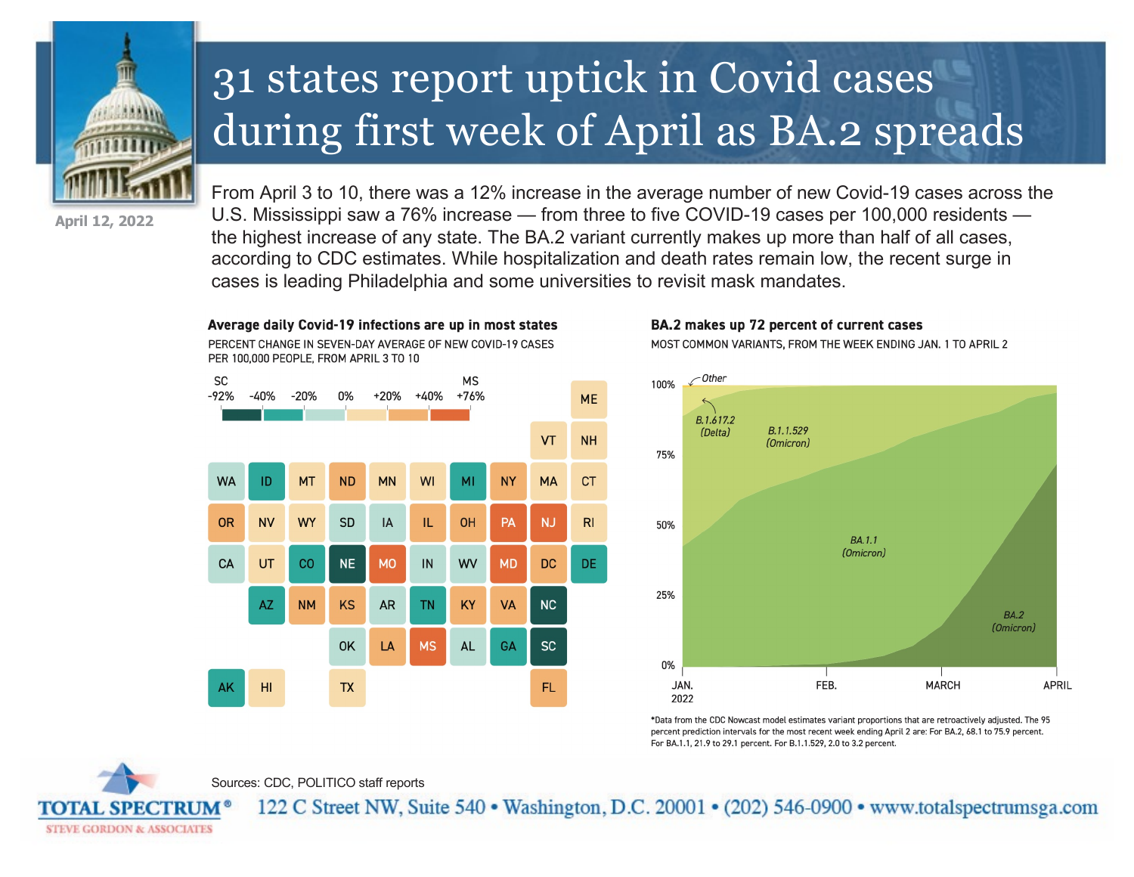

## 31 states report uptick in Covid cases during first week of April as BA.2 spreads

**April 12, 2022**

From April 3 to 10, there was a 12% increase in the average number of new Covid-19 cases across the U.S. Mississippi saw a 76% increase — from three to five COVID-19 cases per 100,000 residents the highest increase of any state. The BA.2 variant currently makes up more than half of all cases, according to CDC estimates. While hospitalization and death rates remain low, the recent surge in cases is leading Philadelphia and some universities to revisit mask mandates.

#### PERCENT CHANGE IN SEVEN-DAY AVERAGE OF NEW COVID-19 CASES PER 100,000 PEOPLE, FROM APRIL 3 TO 10 **SC MS**  $-92%$ 0% -20% +40% +76% -40% -20% **ME VT NH MT MN** WI **NY WA** ID **ND** MI **MA CT WY OR NV SD OH** PA  $NJ$  $R<sub>l</sub>$ IA IL **NE** CA UT C<sub>O</sub> **MO**  $IN$ WV **MD** DC DE **NC AZ NM KS** AR **TN** KY **VA SC OK** LA **AL** GA **TX** FL. HI

Average daily Covid-19 infections are up in most states

### BA.2 makes up 72 percent of current cases

MOST COMMON VARIANTS, FROM THE WEEK ENDING JAN. 1 TO APRIL 2



\*Data from the CDC Nowcast model estimates variant proportions that are retroactively adjusted. The 95 percent prediction intervals for the most recent week ending April 2 are: For BA.2, 68.1 to 75.9 percent. For BA.1.1, 21.9 to 29.1 percent. For B.1.1.529, 2.0 to 3.2 percent.



122 C Street NW, Suite 540 • Washington, D.C. 20001 • (202) 546-0900 • www.totalspectrumsga.com